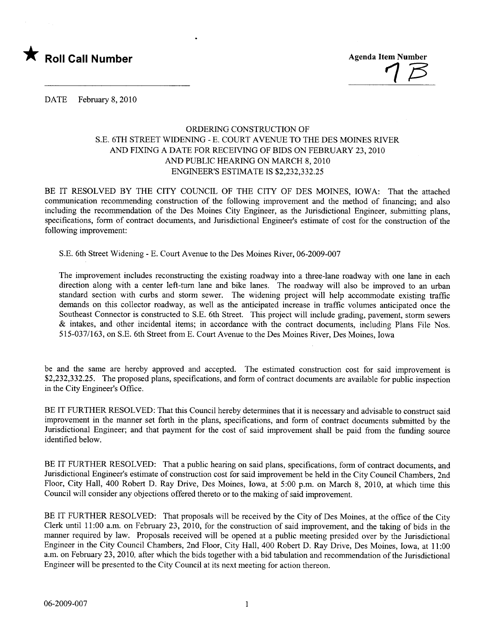

 $\frac{1}{1}$   $\approx$ 

DATE February 8, 2010

## ORDERING CONSTRUCTION OF S.E. 6TH STREET WIDENING - E. COURT AVENUE TO THE DES MOINES RIVER AND FIXING A DATE FOR RECEIVING OF BIDS ON FEBRUARY 23, 2010 AND PUBLIC HEARING ON MARCH 8, 2010 ENGINEER'S ESTIMATE IS \$2,232,332.25

BE IT RESOLVED BY THE CITY COUNCIL OF THE CITY OF DES MOINES, IOWA: That the attached communication recommending construction of the following improvement and the method of financing; and also including the recommendation of the Des Moines City Engineer, as the Jurisdictional Engineer, submitting plans, specifications, form of contract documents, and Jurisdictional Engineer's estimate of cost for the construction of the following improvement:

S.E. 6th Street Widening - E. Court A venue to the Des Moines River, 06-2009-007

The improvement includes reconstructing the existing roadway into a three-lane roadway with one lane in each direction along with a center left-turn lane and bike lanes. The roadway will also be improved to an urban standard section with curbs and storm sewer. The widening project will help accommodate existing traffic demands on this collector roadway, as well as the anticipated increase in traffic volumes anticipated once the Southeast Connector is constructed to S.E. 6th Street. This project will include grading, pavement, storm sewers & intakes, and other incidental items; in accordance with the contract documents, including Plans File Nos. 515-037/163, on S.E. 6th Street from E. Court Avenue to the Des Moines River, Des Moines, Iowa

be and the same are hereby approved and accepted. The estimated construction cost for said improvement is \$2,232,332.25. The proposed plans, specifications, and form of contract documents are available for public inspection in the City Engineer's Office.

BE IT FURTHER RESOLVED: That this Council hereby determines that it is necessary and advisable to construct said improvement in the manner set forth in the plans, specifications, and form of contract documents submitted by the Jurisdictional Engineer; and that payment for the cost of said improvement shall be paid from the funding source identified below.

BE IT FURTHER RESOLVED: That a public hearing on said plans, specifications, form of contract documents, and Jurisdictional Engineer's estimate of construction cost for said improvement be held in the City Council Chambers, 2nd Floor, City Hall, 400 Robert D. Ray Drive, Des Moines, Iowa, at 5:00 p.m. on March 8, 2010, at which time this Council will consider any objections offered thereto or to the making of said improvement.

BE IT FURTHER RESOLVED: That proposals will be received by the City of Des Moines, at the office of the City Clerk until 11:00 a.m. on February 23, 2010, for the construction of said improvement, and the taking of bids in the manner required by law. Proposals received will be opened at a public meeting presided over by the Jurisdictional Engineer in the City Council Chambers, 2nd Floor, City Hall, 400 Robert D. Ray Drive, Des Moines, Iowa, at 11 :00 a.m. on February 23,2010, after which the bids together with a bid tabulation and recommendation of the Jurisdictional Engineer will be presented to the City Council at its next meeting for action thereon.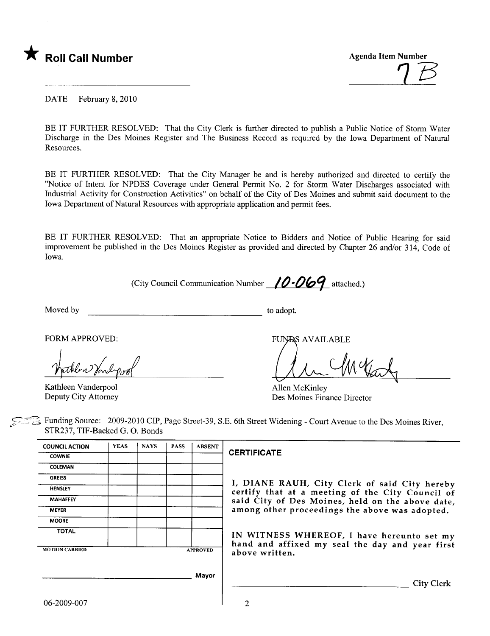

 $\frac{7}{5}$ 

DATE February 8, 2010

BE IT FURTHER RESOLVED: That the City Clerk is further directed to publish a Public Notice of Storm Water Discharge in the Des Moines Register and The Business Record as required by the Iowa Department of Natural Resources.

BE IT FURTHER RESOLVED: That the City Manager be and is hereby authorized and directed to certify the "Notice of Intent for NPDES Coverage under General Permit No.2 for Storm Water Discharges associated with Industrial Activity for Construction Activities" on behalf of the City of Des Moines and submit said document to the Iowa Department of Natural Resources with appropriate application and permit fees.

BE IT FURTHER RESOLVED: That an appropriate Notice to Bidders and Notice of Public Hearing for said improvement be published in the Des Moines Register as provided and directed by Chapter 26 and/or 314, Code of Iowa.

(City Council Communication Number  $10.069$  attached.)

Moved by to adopt.

FORM APPROVED:

Kathleen Vanderpool Deputy City Attorney

hathlow Youl-pool

Allen McKinley Des Moines Finance Director

Funding Source: 2009-2010 CIP, Page Street-39, S.E. 6th Street Widening - Court Avenue to the Des Moines River, . STR237, TIF-Backed G. O. Bonds

| <b>COUNCIL ACTION</b> | <b>YEAS</b>     | <b>NAYS</b> | <b>PASS</b> | <b>ABSENT</b> |
|-----------------------|-----------------|-------------|-------------|---------------|
| <b>COWNIE</b>         |                 |             |             |               |
| <b>COLEMAN</b>        |                 |             |             |               |
| <b>GREISS</b>         |                 |             |             |               |
| <b>HENSLEY</b>        |                 |             |             |               |
| <b>MAHAFFEY</b>       |                 |             |             |               |
| <b>MEYER</b>          |                 |             |             |               |
| <b>MOORE</b>          |                 |             |             |               |
| <b>TOTAL</b>          |                 |             |             |               |
|                       |                 |             |             |               |
| <b>MOTION CARRIED</b> | <b>APPROVED</b> |             |             |               |
|                       |                 |             |             |               |
|                       |                 |             |             | Mayor         |
|                       |                 |             |             |               |
|                       |                 |             |             |               |

## **CERTIFICATE**

I, DIANE RAUH, City Clerk of said City hereby HENSLEY **EXAMPLE CONSUMED CONSUMED A** certify that at a meeting of the City Council of MAHAFFEY Said City of Des Moines, held on the above date, among other proceedings the above was adopted.

> IN WITNESS WHEREOF, I have hereunto set my hand and affixed my seal the day and year first above written.

> > City Clerk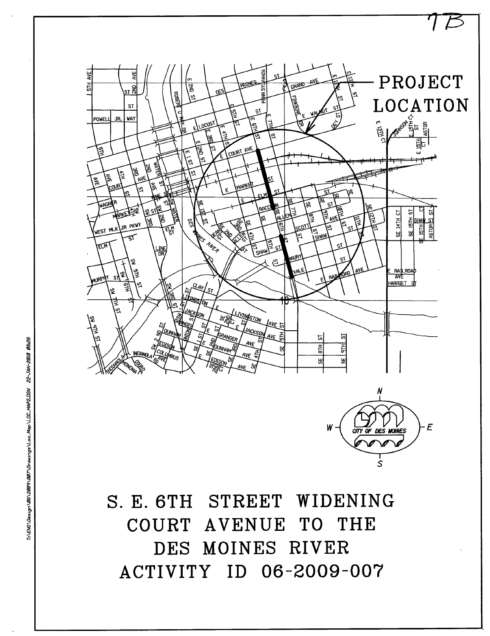

T1\EN0\Destgn\86\289\89\DF7\Drawtngs\Loo\_Map\L0C\_MAP2.DGN 22-JAN-2818 88:28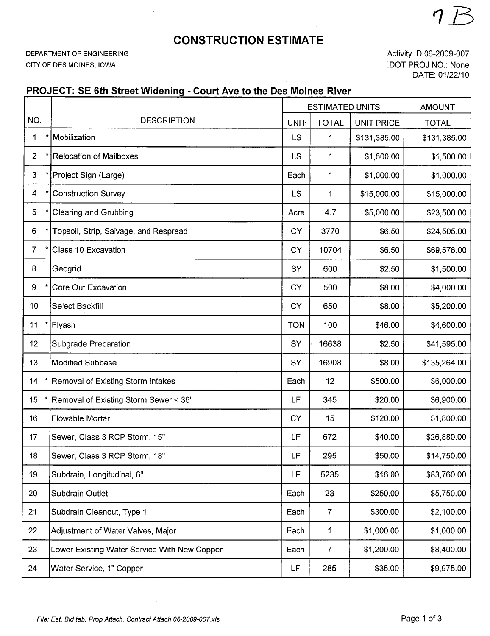## CONSTRUCTION ESTIMATE

DEPARTMENT OF ENGINEERING CITY OF DES MOINES, IOWA

Activity ID 06-2009-007 IDOT PROJ NO.: None DATE: 01/22/10

1E

## PROJECT: SE 6th Street Widening - Court Ave to the Des Moines River

|                 | $\sim$                                       | <b>ESTIMATED UNITS</b> |                | <b>AMOUNT</b>     |              |
|-----------------|----------------------------------------------|------------------------|----------------|-------------------|--------------|
| NO.             | <b>DESCRIPTION</b>                           |                        | <b>TOTAL</b>   | <b>UNIT PRICE</b> | <b>TOTAL</b> |
| 1               | Mobilization                                 | <b>LS</b>              | 1              | \$131,385.00      | \$131,385.00 |
| $2^{\circ}$     | <b>Relocation of Mailboxes</b>               | LS <sup>1</sup>        | $\mathbf 1$    | \$1,500.00        | \$1,500.00   |
| 3 <sup>2</sup>  | Project Sign (Large)                         | Each                   | 1              | \$1,000.00        | \$1,000.00   |
| $\overline{4}$  | <b>Construction Survey</b>                   | <b>LS</b>              | 1              | \$15,000.00       | \$15,000.00  |
| 5               | <b>Clearing and Grubbing</b>                 | Acre                   | 4.7            | \$5,000.00        | \$23,500.00  |
| 6               | Topsoil, Strip, Salvage, and Respread        | <b>CY</b>              | 3770           | \$6.50            | \$24,505.00  |
| $\overline{7}$  | Class 10 Excavation                          | <b>CY</b>              | 10704          | \$6.50            | \$69,576.00  |
| 8               | Geogrid                                      | SY                     | 600            | \$2.50            | \$1,500.00   |
| 9               | Core Out Excavation                          | CY                     | 500            | \$8.00            | \$4,000.00   |
| 10 <sub>1</sub> | Select Backfill                              | CY                     | 650            | \$8.00            | \$5,200.00   |
| 11<br>×         | Flyash                                       | <b>TON</b>             | 100            | \$46.00           | \$4,600.00   |
| 12 <sup>°</sup> | Subgrade Preparation                         | SY                     | 16638          | \$2.50            | \$41,595.00  |
| 13              | <b>Modified Subbase</b>                      | SY                     | 16908          | \$8.00            | \$135,264.00 |
| 14              | Removal of Existing Storm Intakes            | Each                   | 12             | \$500.00          | \$6,000.00   |
| 15              | Removal of Existing Storm Sewer < 36"        | LF                     | 345            | \$20.00           | \$6,900.00   |
| 16              | <b>Flowable Mortar</b>                       | <b>CY</b>              | 15             | \$120.00          | \$1,800.00   |
| 17              | Sewer, Class 3 RCP Storm, 15"                | LF                     | 672            | \$40.00           | \$26,880.00  |
| 18              | Sewer, Class 3 RCP Storm, 18"                | LF                     | 295            | \$50.00           | \$14,750.00  |
| 19              | Subdrain, Longitudinal, 6"                   | LF                     | 5235           | \$16.00           | \$83,760.00  |
| 20              | Subdrain Outlet                              | Each                   | 23             | \$250.00          | \$5,750.00   |
| 21              | Subdrain Cleanout, Type 1                    | Each                   | $\overline{7}$ | \$300.00          | \$2,100.00   |
| 22              | Adjustment of Water Valves, Major            | Each                   | 1              | \$1,000.00        | \$1,000.00   |
| 23              | Lower Existing Water Service With New Copper | Each                   | $\overline{7}$ | \$1,200.00        | \$8,400.00   |
| 24              | Water Service, 1" Copper                     | LF                     | 285            | \$35.00           | \$9,975.00   |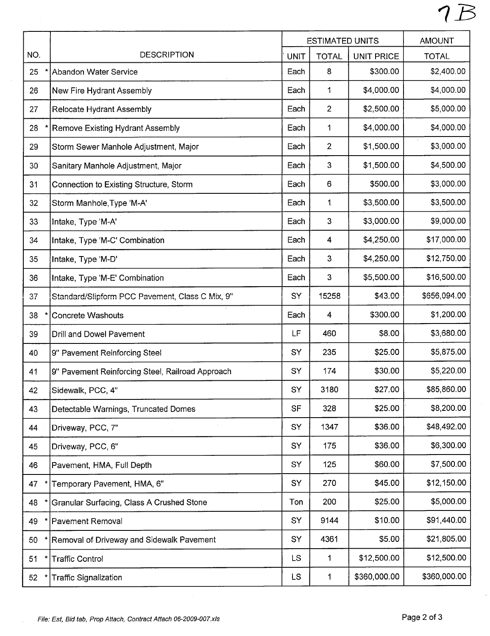|     |                                                  | <b>ESTIMATED UNITS</b> |                         | <b>AMOUNT</b>     |              |
|-----|--------------------------------------------------|------------------------|-------------------------|-------------------|--------------|
| NO. | <b>DESCRIPTION</b>                               | <b>UNIT</b>            | <b>TOTAL</b>            | <b>UNIT PRICE</b> | <b>TOTAL</b> |
| 25  | Abandon Water Service                            | Each                   | 8                       | \$300.00          | \$2,400.00   |
| 26  | New Fire Hydrant Assembly                        | Each                   | 1                       | \$4,000.00        | \$4,000.00   |
| 27  | Relocate Hydrant Assembly                        | Each                   | $\overline{2}$          | \$2,500.00        | \$5,000.00   |
| 28  | Remove Existing Hydrant Assembly                 | Each                   | 1                       | \$4,000.00        | \$4,000.00   |
| 29  | Storm Sewer Manhole Adjustment, Major            | Each                   | $\overline{2}$          | \$1,500.00        | \$3,000.00   |
| 30  | Sanitary Manhole Adjustment, Major               | Each                   | 3                       | \$1,500.00        | \$4,500.00   |
| 31  | Connection to Existing Structure, Storm          | Each                   | 6                       | \$500.00          | \$3,000.00   |
| 32  | Storm Manhole, Type 'M-A'                        | Each                   | 1                       | \$3,500.00        | \$3,500.00   |
| 33  | Intake, Type 'M-A'                               | Each                   | 3                       | \$3,000.00        | \$9,000.00   |
| 34  | Intake, Type 'M-C' Combination                   | Each                   | $\overline{\mathbf{4}}$ | \$4,250.00        | \$17,000.00  |
| 35  | Intake, Type 'M-D'                               | Each                   | 3                       | \$4,250.00        | \$12,750.00  |
| 36  | Intake, Type 'M-E' Combination                   | Each                   | 3                       | \$5,500.00        | \$16,500.00  |
| 37  | Standard/Slipform PCC Pavement, Class C Mix, 9"  | <b>SY</b>              | 15258                   | \$43.00           | \$656,094.00 |
| 38  | <b>Concrete Washouts</b>                         | Each                   | 4                       | \$300.00          | \$1,200.00   |
| 39  | Drill and Dowel Pavement                         | LF                     | 460                     | \$8.00            | \$3,680.00   |
| 40  | 9" Pavement Reinforcing Steel                    | SY                     | 235                     | \$25.00           | \$5,875.00   |
| 41  | 9" Pavement Reinforcing Steel, Railroad Approach | SY                     | 174                     | \$30.00           | \$5,220.00   |
| 42  | Sidewalk, PCC, 4"                                | SY                     | 3180                    | \$27.00           | \$85,860.00  |
| 43  | Detectable Warnings, Truncated Domes             | <b>SF</b>              | 328                     | \$25.00           | \$8,200.00   |
| 44  | Driveway, PCC, 7"                                | SY                     | 1347                    | \$36.00           | \$48,492.00  |
| 45  | Driveway, PCC, 6"                                | SY                     | 175                     | \$36.00           | \$6,300.00   |
| 46  | Pavement, HMA, Full Depth                        | SY                     | 125                     | \$60.00           | \$7,500.00   |
| 47  | Temporary Pavement, HMA, 6"                      | SY                     | 270                     | \$45.00           | \$12,150.00  |
| 48  | Granular Surfacing, Class A Crushed Stone        | Ton                    | 200                     | \$25.00           | \$5,000.00   |
| 49  | Pavement Removal                                 | SY                     | 9144                    | \$10.00           | \$91,440.00  |
| 50  | Removal of Driveway and Sidewalk Pavement        | SY                     | 4361                    | \$5.00            | \$21,805.00  |
| 51  | <b>Traffic Control</b>                           | <b>LS</b>              | 1                       | \$12,500.00       | \$12,500.00  |
| 52  | <b>Traffic Signalization</b>                     | <b>LS</b>              | 1                       | \$360,000.00      | \$360,000.00 |

 $\bar{\beta}$